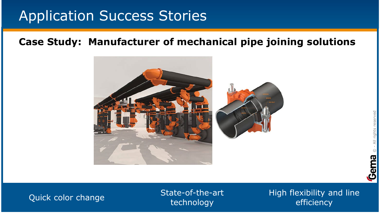### **Case Study: Manufacturer of mechanical pipe joining solutions**



### State-of-the-art technology

High flexibility and line Quick color change and the state-of-the-art color change and the color change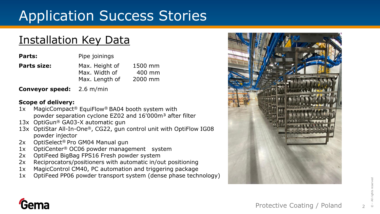### Installation Key Data

| Parts:             | Pipe joinings                                     |                              |
|--------------------|---------------------------------------------------|------------------------------|
| <b>Parts size:</b> | Max. Height of<br>Max. Width of<br>Max. Length of | 1500 mm<br>400 mm<br>2000 mm |
|                    |                                                   |                              |

**Conveyor speed:** 2.6 m/min

### **Scope of delivery:**

- 1x MagicCompact® EquiFlow® BA04 booth system with powder separation cyclone EZ02 and 16'000m<sup>3</sup> after filter
- 13x OptiGun® GA03-X automatic gun
- 13x OptiStar All-In-One®, CG22, gun control unit with OptiFlow IG08 powder injector
- 2x OptiSelect<sup>®</sup> Pro GM04 Manual gun
- 1x OptiCenter® OC06 powder management system
- 2x OptiFeed BigBag FPS16 Fresh powder system
- 2x Reciprocators/positioners with automatic in/out positioning
- 1x MagicControl CM40, PC automation and triggering package
- 1x OptiFeed PP06 powder transport system (dense phase technology)





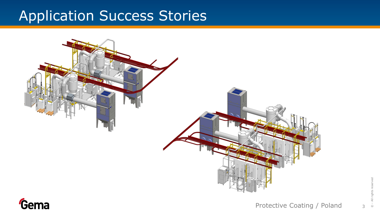

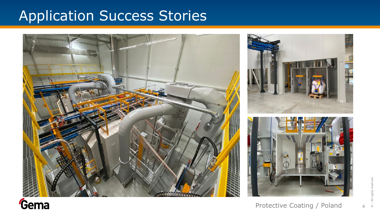